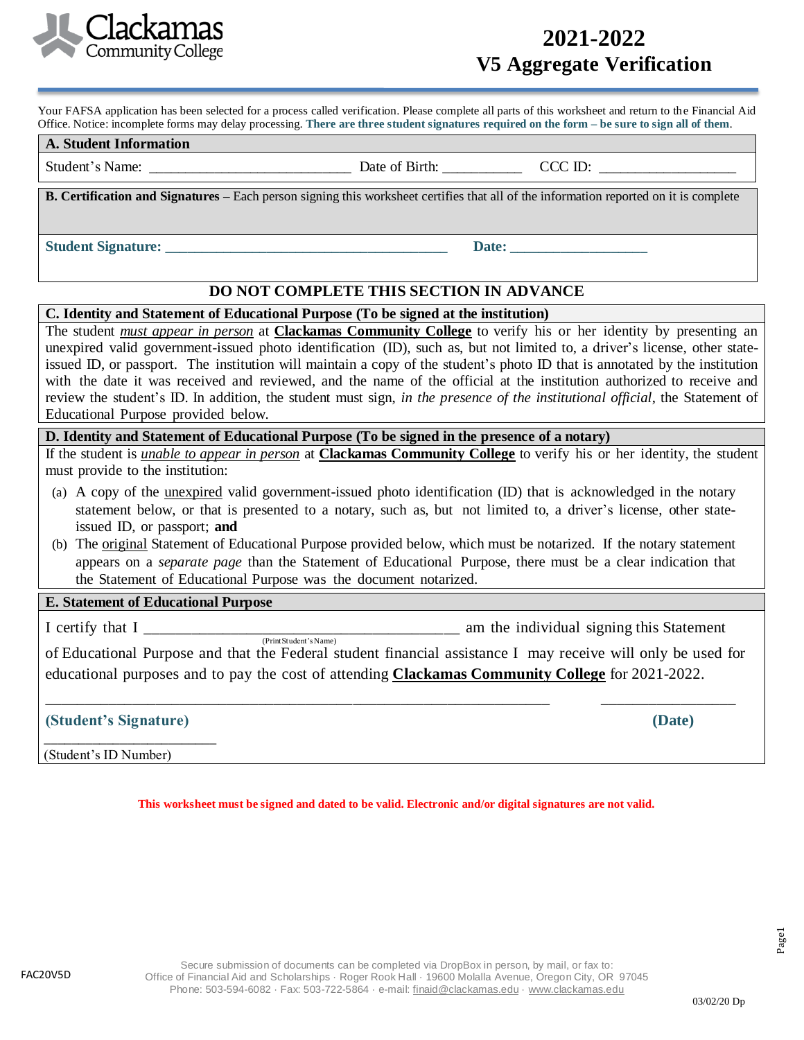

## **2021-2022 V5 Aggregate Verification**

**Worksheet**

Your FAFSA application has been selected for a process called verification. Please complete all parts of this worksheet and return to the Financial Aid Office. Notice: incomplete forms may delay processing. **There are three student signatures required on the form – be sure to sign all of them**.

| <b>Student</b><br><b>: Information</b><br>A. |                                      |         |
|----------------------------------------------|--------------------------------------|---------|
| $\sim$<br>Student <sup>2</sup><br>Name.      | $\sim$<br>Date<br>.<br>ΟĪ<br>DII UI. | 17<br>൸ |

**B. Certification and Signatures –** Each person signing this worksheet certifies that all of the information reported on it is complete

**Student Signature:**  $\blacksquare$ 

## **DO NOT COMPLETE THIS SECTION IN ADVANCE**

#### **C. Identity and Statement of Educational Purpose (To be signed at the institution)**

The student *must appear in person* at **Clackamas Community College** to verify his or her identity by presenting an unexpired valid government-issued photo identification (ID), such as, but not limited to, a driver's license, other stateissued ID, or passport. The institution will maintain a copy of the student's photo ID that is annotated by the institution with the date it was received and reviewed, and the name of the official at the institution authorized to receive and review the student's ID. In addition, the student must sign, *in the presence of the institutional official*, the Statement of Educational Purpose provided below.

### **D. Identity and Statement of Educational Purpose (To be signed in the presence of a notary)**

If the student is *unable to appear in person* at **Clackamas Community College** to verify his or her identity, the student must provide to the institution:

- (a) A copy of the unexpired valid government-issued photo identification (ID) that is acknowledged in the notary statement below, or that is presented to a notary, such as, but not limited to, a driver's license, other stateissued ID, or passport; **and**
- (b) The original Statement of Educational Purpose provided below, which must be notarized. If the notary statement appears on a *separate page* than the Statement of Educational Purpose, there must be a clear indication that the Statement of Educational Purpose was the document notarized.

### **E. Statement of Educational Purpose**

I certify that I certify that I am the individual signing this Statement

(Print Student's Name) of Educational Purpose and that the Federal student financial assistance I may receive will only be used for educational purposes and to pay the cost of attending **Clackamas Community College** for 2021-2022.

\_\_\_\_\_\_\_\_\_\_\_\_\_\_\_\_\_\_\_\_\_\_\_\_\_\_\_\_\_\_\_\_\_\_\_\_\_\_\_\_\_\_\_\_\_\_\_\_\_\_\_\_\_\_\_\_\_\_\_\_\_\_\_\_ \_\_\_\_\_\_\_\_\_\_\_\_\_\_\_\_\_

## **(Student's Signature) (Date)**

\_\_\_\_\_\_\_\_\_\_\_\_\_\_\_\_\_\_\_\_\_\_\_\_\_ (Student's ID Number)

**This worksheet must be signed and dated to be valid. Electronic and/or digital signatures are not valid.**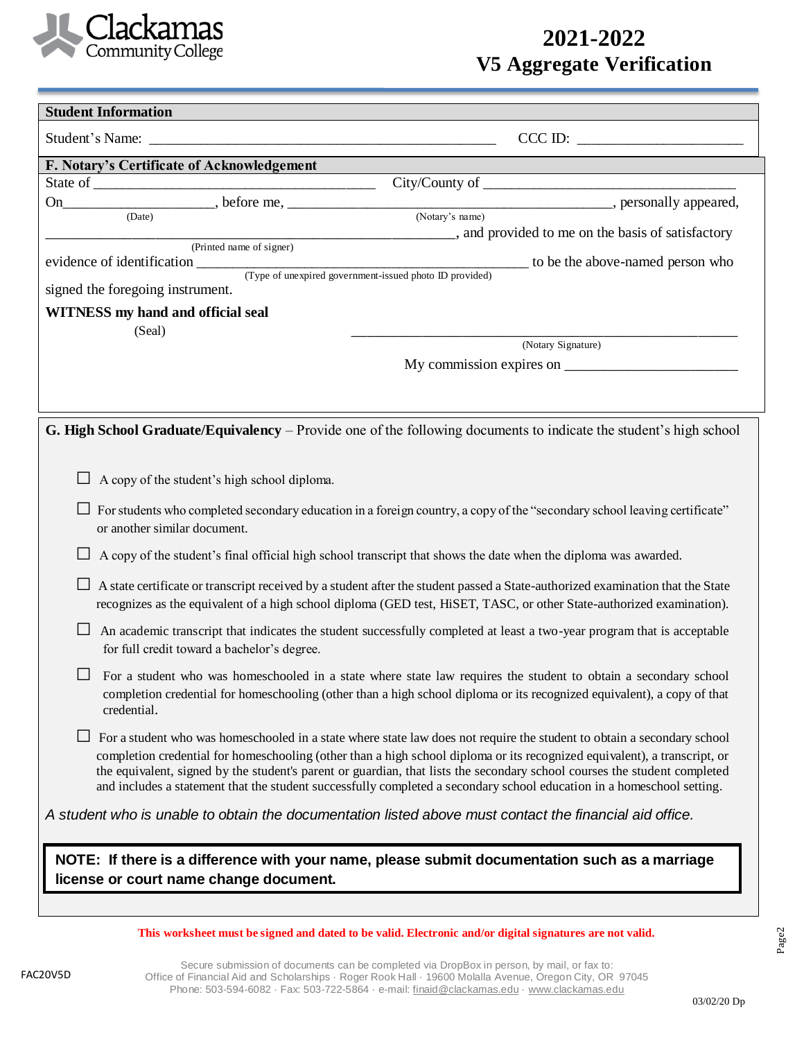

# **2021-2022 V5 Aggregate Verification**

| <b>Student Information</b>                                                                                                                                                                                                                                |                                                                                                                                                                                                                                                                                                                                                                                                                                                                                                             |  |
|-----------------------------------------------------------------------------------------------------------------------------------------------------------------------------------------------------------------------------------------------------------|-------------------------------------------------------------------------------------------------------------------------------------------------------------------------------------------------------------------------------------------------------------------------------------------------------------------------------------------------------------------------------------------------------------------------------------------------------------------------------------------------------------|--|
|                                                                                                                                                                                                                                                           |                                                                                                                                                                                                                                                                                                                                                                                                                                                                                                             |  |
|                                                                                                                                                                                                                                                           | CCCID:                                                                                                                                                                                                                                                                                                                                                                                                                                                                                                      |  |
| F. Notary's Certificate of Acknowledgement                                                                                                                                                                                                                |                                                                                                                                                                                                                                                                                                                                                                                                                                                                                                             |  |
|                                                                                                                                                                                                                                                           |                                                                                                                                                                                                                                                                                                                                                                                                                                                                                                             |  |
| (Date)                                                                                                                                                                                                                                                    | (Notary's name)                                                                                                                                                                                                                                                                                                                                                                                                                                                                                             |  |
|                                                                                                                                                                                                                                                           | _______________, and provided to me on the basis of satisfactory                                                                                                                                                                                                                                                                                                                                                                                                                                            |  |
| (Printed name of signer)                                                                                                                                                                                                                                  | to be the above-named person who                                                                                                                                                                                                                                                                                                                                                                                                                                                                            |  |
| evidence of identification (Type of unexpired government-issued photo ID provided)                                                                                                                                                                        |                                                                                                                                                                                                                                                                                                                                                                                                                                                                                                             |  |
| signed the foregoing instrument.                                                                                                                                                                                                                          |                                                                                                                                                                                                                                                                                                                                                                                                                                                                                                             |  |
| WITNESS my hand and official seal                                                                                                                                                                                                                         |                                                                                                                                                                                                                                                                                                                                                                                                                                                                                                             |  |
| (Seal)                                                                                                                                                                                                                                                    | (Notary Signature)                                                                                                                                                                                                                                                                                                                                                                                                                                                                                          |  |
|                                                                                                                                                                                                                                                           | My commission expires on $\frac{1}{\frac{1}{2} \sum_{i=1}^{n} x_i^2 + \cdots + x_i^2}$                                                                                                                                                                                                                                                                                                                                                                                                                      |  |
|                                                                                                                                                                                                                                                           |                                                                                                                                                                                                                                                                                                                                                                                                                                                                                                             |  |
|                                                                                                                                                                                                                                                           | G. High School Graduate/Equivalency - Provide one of the following documents to indicate the student's high school                                                                                                                                                                                                                                                                                                                                                                                          |  |
| A copy of the student's high school diploma.                                                                                                                                                                                                              |                                                                                                                                                                                                                                                                                                                                                                                                                                                                                                             |  |
| or another similar document.                                                                                                                                                                                                                              | For students who completed secondary education in a foreign country, a copy of the "secondary school leaving certificate"                                                                                                                                                                                                                                                                                                                                                                                   |  |
|                                                                                                                                                                                                                                                           | A copy of the student's final official high school transcript that shows the date when the diploma was awarded.                                                                                                                                                                                                                                                                                                                                                                                             |  |
| A state certificate or transcript received by a student after the student passed a State-authorized examination that the State<br>recognizes as the equivalent of a high school diploma (GED test, HiSET, TASC, or other State-authorized examination).   |                                                                                                                                                                                                                                                                                                                                                                                                                                                                                                             |  |
| for full credit toward a bachelor's degree.                                                                                                                                                                                                               | An academic transcript that indicates the student successfully completed at least a two-year program that is acceptable                                                                                                                                                                                                                                                                                                                                                                                     |  |
| For a student who was homeschooled in a state where state law requires the student to obtain a secondary school<br>completion credential for homeschooling (other than a high school diploma or its recognized equivalent), a copy of that<br>credential. |                                                                                                                                                                                                                                                                                                                                                                                                                                                                                                             |  |
|                                                                                                                                                                                                                                                           | For a student who was homeschooled in a state where state law does not require the student to obtain a secondary school<br>completion credential for homeschooling (other than a high school diploma or its recognized equivalent), a transcript, or<br>the equivalent, signed by the student's parent or guardian, that lists the secondary school courses the student completed<br>and includes a statement that the student successfully completed a secondary school education in a homeschool setting. |  |
|                                                                                                                                                                                                                                                           | A student who is unable to obtain the documentation listed above must contact the financial aid office.                                                                                                                                                                                                                                                                                                                                                                                                     |  |
|                                                                                                                                                                                                                                                           | NOTE: If there is a difference with your name, please submit documentation such as a marriage                                                                                                                                                                                                                                                                                                                                                                                                               |  |
| license or court name change document.                                                                                                                                                                                                                    |                                                                                                                                                                                                                                                                                                                                                                                                                                                                                                             |  |

**This worksheet must be signed and dated to be valid. Electronic and/or digital signatures are not valid.**